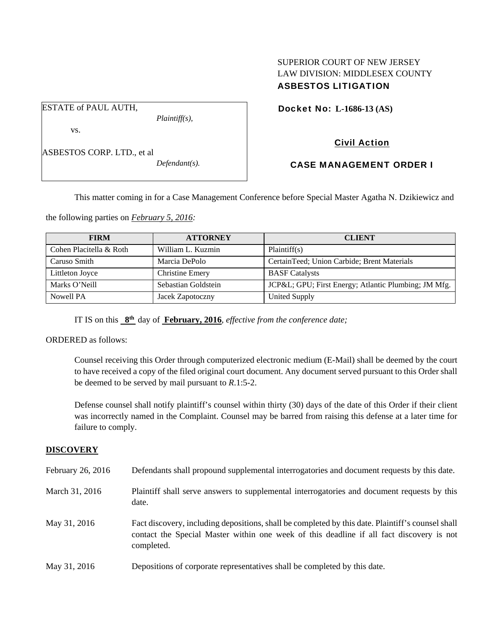## SUPERIOR COURT OF NEW JERSEY LAW DIVISION: MIDDLESEX COUNTY ASBESTOS LITIGATION

Docket No: **L-1686-13 (AS)** 

vs.

ESTATE of PAUL AUTH,

ASBESTOS CORP. LTD., et al

*Defendant(s).* 

*Plaintiff(s),* 

Civil Action

## CASE MANAGEMENT ORDER I

This matter coming in for a Case Management Conference before Special Master Agatha N. Dzikiewicz and

the following parties on *February 5, 2016:* 

| <b>FIRM</b>             | <b>ATTORNEY</b>        | <b>CLIENT</b>                                       |
|-------------------------|------------------------|-----------------------------------------------------|
| Cohen Placitella & Roth | William L. Kuzmin      | Plaintiff(s)                                        |
| Caruso Smith            | Marcia DePolo          | CertainTeed; Union Carbide; Brent Materials         |
| Littleton Joyce         | <b>Christine Emery</b> | <b>BASF</b> Catalysts                               |
| Marks O'Neill           | Sebastian Goldstein    | JCP&L GPU; First Energy; Atlantic Plumbing; JM Mfg. |
| Nowell PA               | Jacek Zapotoczny       | <b>United Supply</b>                                |

IT IS on this **8th** day of **February, 2016**, *effective from the conference date;*

ORDERED as follows:

Counsel receiving this Order through computerized electronic medium (E-Mail) shall be deemed by the court to have received a copy of the filed original court document. Any document served pursuant to this Order shall be deemed to be served by mail pursuant to *R*.1:5-2.

Defense counsel shall notify plaintiff's counsel within thirty (30) days of the date of this Order if their client was incorrectly named in the Complaint. Counsel may be barred from raising this defense at a later time for failure to comply.

## **DISCOVERY**

| February 26, 2016 | Defendants shall propound supplemental interrogatories and document requests by this date.                                                                                                                  |
|-------------------|-------------------------------------------------------------------------------------------------------------------------------------------------------------------------------------------------------------|
| March 31, 2016    | Plaintiff shall serve answers to supplemental interrogatories and document requests by this<br>date.                                                                                                        |
| May 31, 2016      | Fact discovery, including depositions, shall be completed by this date. Plaintiff's counsel shall<br>contact the Special Master within one week of this deadline if all fact discovery is not<br>completed. |
| May 31, 2016      | Depositions of corporate representatives shall be completed by this date.                                                                                                                                   |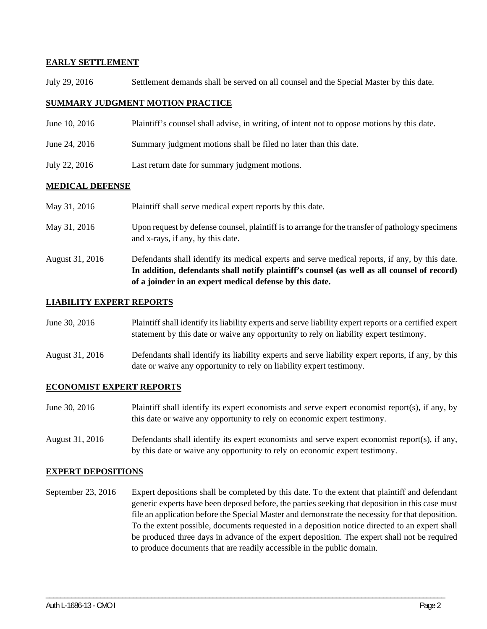### **EARLY SETTLEMENT**

July 29, 2016 Settlement demands shall be served on all counsel and the Special Master by this date.

### **SUMMARY JUDGMENT MOTION PRACTICE**

- June 10, 2016 Plaintiff's counsel shall advise, in writing, of intent not to oppose motions by this date.
- June 24, 2016 Summary judgment motions shall be filed no later than this date.
- July 22, 2016 Last return date for summary judgment motions.

#### **MEDICAL DEFENSE**

| May 31, 2016    | Plaintiff shall serve medical expert reports by this date.                                                                                                                                                                                               |
|-----------------|----------------------------------------------------------------------------------------------------------------------------------------------------------------------------------------------------------------------------------------------------------|
| May 31, 2016    | Upon request by defense counsel, plaintiff is to arrange for the transfer of pathology specimens<br>and x-rays, if any, by this date.                                                                                                                    |
| August 31, 2016 | Defendants shall identify its medical experts and serve medical reports, if any, by this date.<br>In addition, defendants shall notify plaintiff's counsel (as well as all counsel of record)<br>of a joinder in an expert medical defense by this date. |

#### **LIABILITY EXPERT REPORTS**

| June 30, 2016 | Plaintiff shall identify its liability experts and serve liability expert reports or a certified expert |
|---------------|---------------------------------------------------------------------------------------------------------|
|               | statement by this date or waive any opportunity to rely on liability expert testimony.                  |

August 31, 2016 Defendants shall identify its liability experts and serve liability expert reports, if any, by this date or waive any opportunity to rely on liability expert testimony.

#### **ECONOMIST EXPERT REPORTS**

- June 30, 2016 Plaintiff shall identify its expert economists and serve expert economist report(s), if any, by this date or waive any opportunity to rely on economic expert testimony.
- August 31, 2016 Defendants shall identify its expert economists and serve expert economist report(s), if any, by this date or waive any opportunity to rely on economic expert testimony.

#### **EXPERT DEPOSITIONS**

September 23, 2016 Expert depositions shall be completed by this date. To the extent that plaintiff and defendant generic experts have been deposed before, the parties seeking that deposition in this case must file an application before the Special Master and demonstrate the necessity for that deposition. To the extent possible, documents requested in a deposition notice directed to an expert shall be produced three days in advance of the expert deposition. The expert shall not be required to produce documents that are readily accessible in the public domain.

\_\_\_\_\_\_\_\_\_\_\_\_\_\_\_\_\_\_\_\_\_\_\_\_\_\_\_\_\_\_\_\_\_\_\_\_\_\_\_\_\_\_\_\_\_\_\_\_\_\_\_\_\_\_\_\_\_\_\_\_\_\_\_\_\_\_\_\_\_\_\_\_\_\_\_\_\_\_\_\_\_\_\_\_\_\_\_\_\_\_\_\_\_\_\_\_\_\_\_\_\_\_\_\_\_\_\_\_\_\_